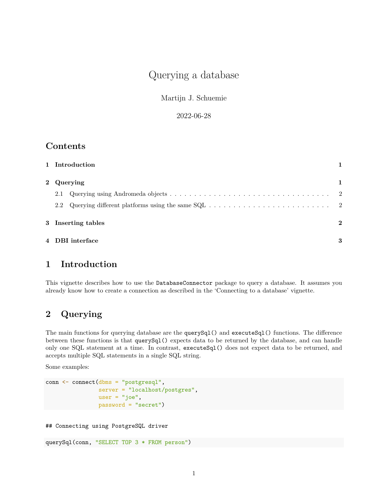# Querying a database

Martijn J. Schuemie

2022-06-28

### **Contents**

| 1 Introduction     |                 |   |  |  |  |  |
|--------------------|-----------------|---|--|--|--|--|
| 2 Querying         |                 |   |  |  |  |  |
| 2.1                |                 |   |  |  |  |  |
|                    |                 |   |  |  |  |  |
| 3 Inserting tables |                 |   |  |  |  |  |
|                    | 4 DBI interface | 3 |  |  |  |  |

## <span id="page-0-0"></span>**1 Introduction**

This vignette describes how to use the DatabaseConnector package to query a database. It assumes you already know how to create a connection as described in the 'Connecting to a database' vignette.

## <span id="page-0-1"></span>**2 Querying**

The main functions for querying database are the querySql() and executeSql() functions. The difference between these functions is that querySql() expects data to be returned by the database, and can handle only one SQL statement at a time. In contrast, executeSql() does not expect data to be returned, and accepts multiple SQL statements in a single SQL string.

Some examples:

```
conn <- connect(dbms = "postgresql",
                server = "localhost/postgres",
                user = "joe",password = "secret")
```
## Connecting using PostgreSQL driver

querySql(conn, "SELECT TOP 3 \* FROM person")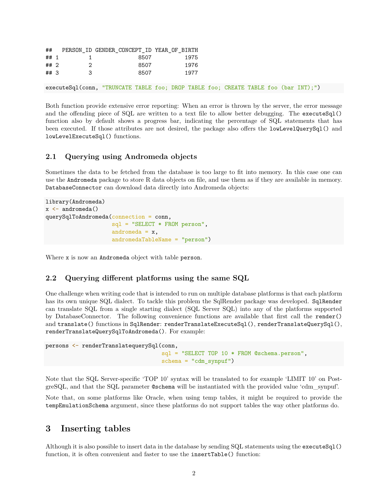| ##  |              | PERSON ID GENDER CONCEPT ID YEAR OF BIRTH |      |
|-----|--------------|-------------------------------------------|------|
|     | $\#$ # 1 1 1 | 8507                                      | 1975 |
| ##2 |              | 8507                                      | 1976 |
| ##3 | - 3          | 8507                                      | 1977 |
|     |              |                                           |      |

executeSql(conn, "TRUNCATE TABLE foo; DROP TABLE foo; CREATE TABLE foo (bar INT);")

Both function provide extensive error reporting: When an error is thrown by the server, the error message and the offending piece of SQL are written to a text file to allow better debugging. The executeSql() function also by default shows a progress bar, indicating the percentage of SQL statements that has been executed. If those attributes are not desired, the package also offers the lowLevelQuerySql() and lowLevelExecuteSql() functions.

#### <span id="page-1-0"></span>**2.1 Querying using Andromeda objects**

Sometimes the data to be fetched from the database is too large to fit into memory. In this case one can use the Andromeda package to store R data objects on file, and use them as if they are available in memory. DatabaseConnector can download data directly into Andromeda objects:

```
library(Andromeda)
x \leftarrow \text{andromeda}()querySqlToAndromeda(connection = conn,
                      sql = "SELECT * FROM person",
                      andromeda = x,
                      andromedaTableName = "person")
```
Where x is now an Andromeda object with table person.

#### <span id="page-1-1"></span>**2.2 Querying different platforms using the same SQL**

One challenge when writing code that is intended to run on multiple database platforms is that each platform has its own unique SQL dialect. To tackle this problem the [SqlRender package](https://ohdsi.github.io/SqlRender/) was developed. SqlRender can translate SQL from a single starting dialect (SQL Server SQL) into any of the platforms supported by DatabaseConnector. The following convenience functions are available that first call the render() and translate() functions in SqlRender: renderTranslateExecuteSql(), renderTranslateQuerySql(), renderTranslateQuerySqlToAndromeda(). For example:

```
persons <- renderTranslatequerySql(conn,
                                   sql = "SELECT TOP 10 * FROM @schema.person",
                                   schema = "cdm_synpur")
```
Note that the SQL Server-specific 'TOP 10' syntax will be translated to for example 'LIMIT 10' on PostgreSQL, and that the SQL parameter @schema will be instantiated with the provided value 'cdm\_synpuf'.

Note that, on some platforms like Oracle, when using temp tables, it might be required to provide the tempEmulationSchema argument, since these platforms do not support tables the way other platforms do.

### <span id="page-1-2"></span>**3 Inserting tables**

Although it is also possible to insert data in the database by sending SQL statements using the executeSql() function, it is often convenient and faster to use the insertTable() function: